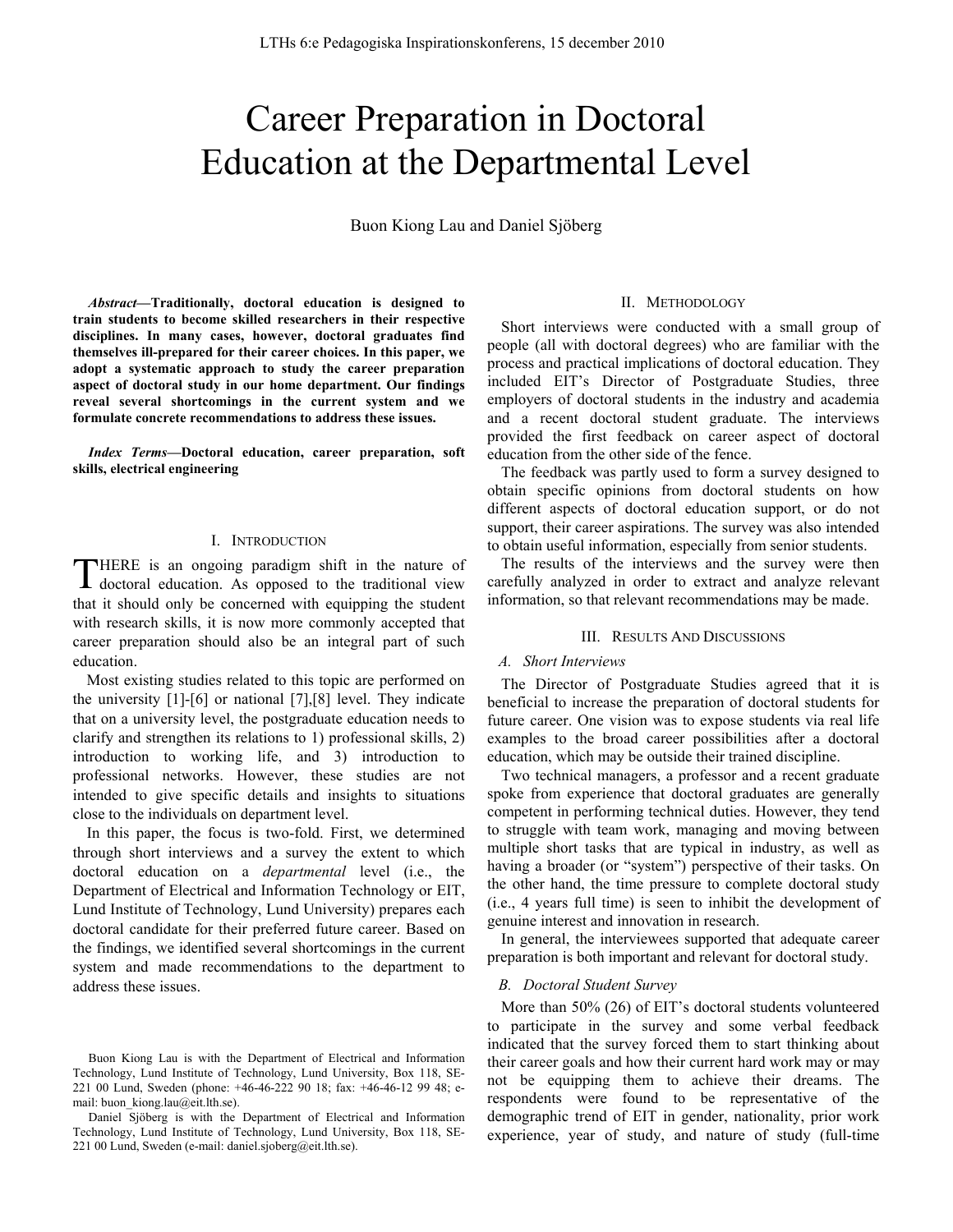# Career Preparation in Doctoral Education at the Departmental Level

Buon Kiong Lau and Daniel Sjöberg

*Abstract***—Traditionally, doctoral education is designed to train students to become skilled researchers in their respective disciplines. In many cases, however, doctoral graduates find themselves ill-prepared for their career choices. In this paper, we adopt a systematic approach to study the career preparation aspect of doctoral study in our home department. Our findings reveal several shortcomings in the current system and we formulate concrete recommendations to address these issues.** 

*Index Terms***—Doctoral education, career preparation, soft skills, electrical engineering** 

## I. INTRODUCTION

HERE is an ongoing paradigm shift in the nature of THERE is an ongoing paradigm shift in the nature of doctoral education. As opposed to the traditional view that it should only be concerned with equipping the student with research skills, it is now more commonly accepted that career preparation should also be an integral part of such education.

Most existing studies related to this topic are performed on the university [1]-[6] or national [7],[8] level. They indicate that on a university level, the postgraduate education needs to clarify and strengthen its relations to 1) professional skills, 2) introduction to working life, and 3) introduction to professional networks. However, these studies are not intended to give specific details and insights to situations close to the individuals on department level.

In this paper, the focus is two-fold. First, we determined through short interviews and a survey the extent to which doctoral education on a *departmental* level (i.e., the Department of Electrical and Information Technology or EIT, Lund Institute of Technology, Lund University) prepares each doctoral candidate for their preferred future career. Based on the findings, we identified several shortcomings in the current system and made recommendations to the department to address these issues.

### II. METHODOLOGY

Short interviews were conducted with a small group of people (all with doctoral degrees) who are familiar with the process and practical implications of doctoral education. They included EIT's Director of Postgraduate Studies, three employers of doctoral students in the industry and academia and a recent doctoral student graduate. The interviews provided the first feedback on career aspect of doctoral education from the other side of the fence.

The feedback was partly used to form a survey designed to obtain specific opinions from doctoral students on how different aspects of doctoral education support, or do not support, their career aspirations. The survey was also intended to obtain useful information, especially from senior students.

The results of the interviews and the survey were then carefully analyzed in order to extract and analyze relevant information, so that relevant recommendations may be made.

#### III. RESULTS AND DISCUSSIONS

#### *A. Short Interviews*

The Director of Postgraduate Studies agreed that it is beneficial to increase the preparation of doctoral students for future career. One vision was to expose students via real life examples to the broad career possibilities after a doctoral education, which may be outside their trained discipline.

Two technical managers, a professor and a recent graduate spoke from experience that doctoral graduates are generally competent in performing technical duties. However, they tend to struggle with team work, managing and moving between multiple short tasks that are typical in industry, as well as having a broader (or "system") perspective of their tasks. On the other hand, the time pressure to complete doctoral study (i.e., 4 years full time) is seen to inhibit the development of genuine interest and innovation in research.

In general, the interviewees supported that adequate career preparation is both important and relevant for doctoral study.

#### *B. Doctoral Student Survey*

More than 50% (26) of EIT's doctoral students volunteered to participate in the survey and some verbal feedback indicated that the survey forced them to start thinking about their career goals and how their current hard work may or may not be equipping them to achieve their dreams. The respondents were found to be representative of the demographic trend of EIT in gender, nationality, prior work experience, year of study, and nature of study (full-time

Buon Kiong Lau is with the Department of Electrical and Information Technology, Lund Institute of Technology, Lund University, Box 118, SE-221 00 Lund, Sweden (phone: +46-46-222 90 18; fax: +46-46-12 99 48; email: buon\_kiong.lau@eit.lth.se).

Daniel Sjöberg is with the Department of Electrical and Information Technology, Lund Institute of Technology, Lund University, Box 118, SE-221 00 Lund, Sweden (e-mail: daniel.sjoberg@eit.lth.se).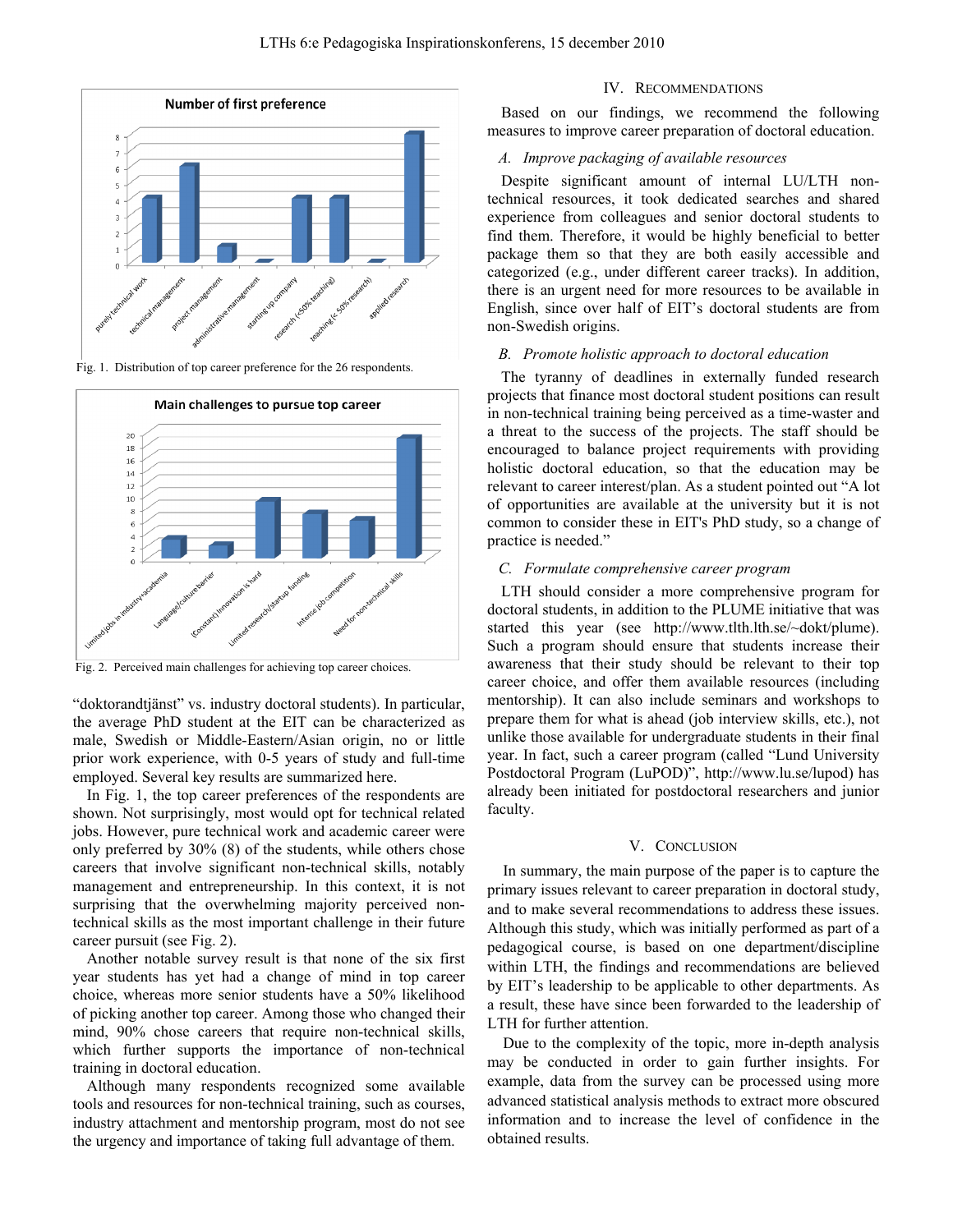

Fig. 1. Distribution of top career preference for the 26 respondents.



Fig. 2. Perceived main challenges for achieving top career choices.

"doktorandtjänst" vs. industry doctoral students). In particular, the average PhD student at the EIT can be characterized as male, Swedish or Middle-Eastern/Asian origin, no or little prior work experience, with 0-5 years of study and full-time employed. Several key results are summarized here.

In Fig. 1, the top career preferences of the respondents are shown. Not surprisingly, most would opt for technical related jobs. However, pure technical work and academic career were only preferred by 30% (8) of the students, while others chose careers that involve significant non-technical skills, notably management and entrepreneurship. In this context, it is not surprising that the overwhelming majority perceived nontechnical skills as the most important challenge in their future career pursuit (see Fig. 2).

Another notable survey result is that none of the six first year students has yet had a change of mind in top career choice, whereas more senior students have a 50% likelihood of picking another top career. Among those who changed their mind, 90% chose careers that require non-technical skills, which further supports the importance of non-technical training in doctoral education.

Although many respondents recognized some available tools and resources for non-technical training, such as courses, industry attachment and mentorship program, most do not see the urgency and importance of taking full advantage of them.

## IV. RECOMMENDATIONS

Based on our findings, we recommend the following measures to improve career preparation of doctoral education.

## *A. Improve packaging of available resources*

Despite significant amount of internal LU/LTH nontechnical resources, it took dedicated searches and shared experience from colleagues and senior doctoral students to find them. Therefore, it would be highly beneficial to better package them so that they are both easily accessible and categorized (e.g., under different career tracks). In addition, there is an urgent need for more resources to be available in English, since over half of EIT's doctoral students are from non-Swedish origins.

### *B. Promote holistic approach to doctoral education*

The tyranny of deadlines in externally funded research projects that finance most doctoral student positions can result in non-technical training being perceived as a time-waster and a threat to the success of the projects. The staff should be encouraged to balance project requirements with providing holistic doctoral education, so that the education may be relevant to career interest/plan. As a student pointed out "A lot of opportunities are available at the university but it is not common to consider these in EIT's PhD study, so a change of practice is needed."

## *C. Formulate comprehensive career program*

LTH should consider a more comprehensive program for doctoral students, in addition to the PLUME initiative that was started this year (see http://www.tlth.lth.se/~dokt/plume). Such a program should ensure that students increase their awareness that their study should be relevant to their top career choice, and offer them available resources (including mentorship). It can also include seminars and workshops to prepare them for what is ahead (job interview skills, etc.), not unlike those available for undergraduate students in their final year. In fact, such a career program (called "Lund University Postdoctoral Program (LuPOD)", http://www.lu.se/lupod) has already been initiated for postdoctoral researchers and junior faculty.

## V. CONCLUSION

In summary, the main purpose of the paper is to capture the primary issues relevant to career preparation in doctoral study, and to make several recommendations to address these issues. Although this study, which was initially performed as part of a pedagogical course, is based on one department/discipline within LTH, the findings and recommendations are believed by EIT's leadership to be applicable to other departments. As a result, these have since been forwarded to the leadership of LTH for further attention.

Due to the complexity of the topic, more in-depth analysis may be conducted in order to gain further insights. For example, data from the survey can be processed using more advanced statistical analysis methods to extract more obscured information and to increase the level of confidence in the obtained results.